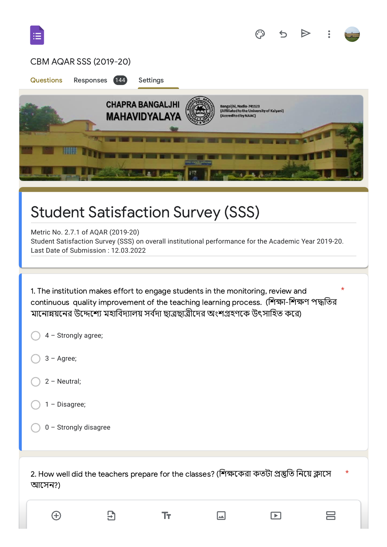|                      | CBM AQAR SSS (2019-20)                                                                                                                                                                                                                                                                  |                                                 |                                                                                              |                         |  |   |
|----------------------|-----------------------------------------------------------------------------------------------------------------------------------------------------------------------------------------------------------------------------------------------------------------------------------------|-------------------------------------------------|----------------------------------------------------------------------------------------------|-------------------------|--|---|
| <b>Questions</b>     | Responses<br>(144)                                                                                                                                                                                                                                                                      | Settings                                        |                                                                                              |                         |  |   |
|                      |                                                                                                                                                                                                                                                                                         | <b>CHAPRA BANGALJHI</b><br><b>MAHAVIDYALAYA</b> | Bangaljhi, Nadia-741123<br>(Affiliated to the University of Kalyani)<br>(Accredited by NAAC) |                         |  |   |
|                      | <b>Student Satisfaction Survey (SSS)</b><br>Metric No. 2.7.1 of AQAR (2019-20)<br>Student Satisfaction Survey (SSS) on overall institutional performance for the Academic Year 2019-20.<br>Last Date of Submission: 12.03.2022                                                          |                                                 |                                                                                              |                         |  |   |
| $3 - \text{Agree}$ ; | 1. The institution makes effort to engage students in the monitoring, review and<br>continuous quality improvement of the teaching learning process. (শিক্ষা-শিক্ষণ পদ্ধতির<br>মানোন্নয়নের উদ্দেশ্যে মহাবিদ্যালয় সর্বদা ছাত্রছাত্রীদের অংশগ্রহণকে উৎসাহিত করে)<br>4 - Strongly agree; |                                                 |                                                                                              |                         |  | * |
| $2 - Neutral;$       |                                                                                                                                                                                                                                                                                         |                                                 |                                                                                              |                         |  |   |
| 1 - Disagree;        |                                                                                                                                                                                                                                                                                         |                                                 |                                                                                              |                         |  |   |
|                      | 0 - Strongly disagree                                                                                                                                                                                                                                                                   |                                                 |                                                                                              |                         |  |   |
| আসেন?)               | 2. How well did the teachers prepare for the classes? (শিক্ষকেরা কতটা প্রস্তুতি নিয়ে ক্লাসে                                                                                                                                                                                            |                                                 |                                                                                              |                         |  | * |
| $\bigoplus$          | Э                                                                                                                                                                                                                                                                                       | ΤT                                              |                                                                                              | $\blacktriangleright$ 1 |  |   |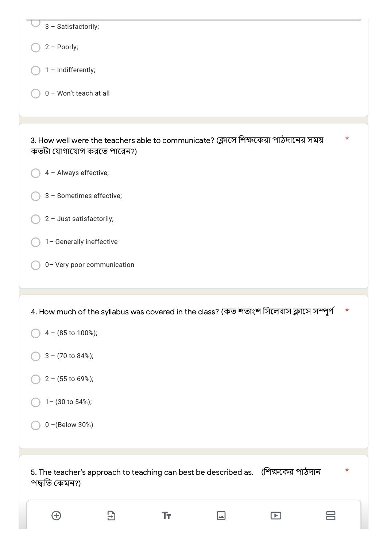| 3 - Satisfactorily;                                                                                                        |  |
|----------------------------------------------------------------------------------------------------------------------------|--|
| $2 -$ Poorly;                                                                                                              |  |
| 1 - Indifferently;                                                                                                         |  |
| 0 - Won't teach at all                                                                                                     |  |
|                                                                                                                            |  |
| 3. How well were the teachers able to communicate? (ক্লাসে শিক্ষকেরা পাঠদানের সময়<br>$\star$<br>কতটা যোগাযোগ করতে পারেন?) |  |
| 4 - Always effective;                                                                                                      |  |
| 3 - Sometimes effective;                                                                                                   |  |
| 2 - Just satisfactorily;                                                                                                   |  |
| 1- Generally ineffective                                                                                                   |  |
| 0- Very poor communication                                                                                                 |  |
|                                                                                                                            |  |
|                                                                                                                            |  |
| 4. How much of the syllabus was covered in the class? (কত শতাংশ সিলেবাস ক্লাসে সম্পূৰ্ণ<br>$\star$                         |  |
| 4 - (85 to 100%);                                                                                                          |  |
| $3 - (70 \text{ to } 84\%)$ ;                                                                                              |  |
| $2 - (55$ to 69%);                                                                                                         |  |
| 1- (30 to 54%);                                                                                                            |  |
| 0 - (Below 30%)                                                                                                            |  |
|                                                                                                                            |  |
| $\star$<br>5. The teacher's approach to teaching can best be described as. (শিক্ষকের পাঠদান<br>পদ্ধতি কেমন?)               |  |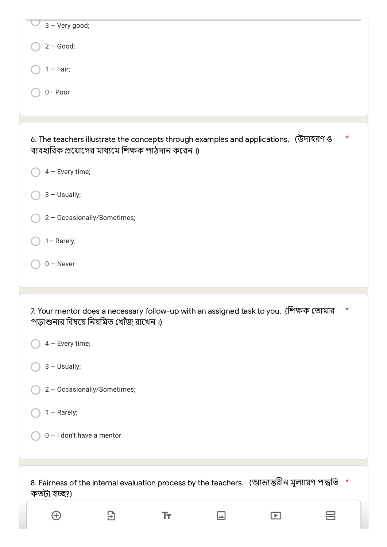| 3 - Very good;                                                                                                                                       |
|------------------------------------------------------------------------------------------------------------------------------------------------------|
| $2 - Good;$                                                                                                                                          |
| $1 - Fair;$                                                                                                                                          |
| $0 -$ Poor                                                                                                                                           |
|                                                                                                                                                      |
| $^\star$<br>6. The teachers illustrate the concepts through examples and applications. (উদাহরণ ও<br>ব্যবহারিক প্রয়োগের মাধ্যমে শিক্ষক পাঠদান করেন।) |
| 4 - Every time;                                                                                                                                      |
| $3 -$ Usually;                                                                                                                                       |
| 2 - Occasionally/Sometimes;                                                                                                                          |
| 1- Rarely;                                                                                                                                           |
| $0 -$ Never                                                                                                                                          |
|                                                                                                                                                      |
|                                                                                                                                                      |
| $\star$<br>7. Your mentor does a necessary follow-up with an assigned task to you. (শিক্ষক তোমার<br>পড়াশুনার বিষয়ে নিয়মিত খোঁজ রাখেন।)            |
| 4 - Every time;                                                                                                                                      |
| $3 -$ Usually;                                                                                                                                       |
| 2 - Occasionally/Sometimes;                                                                                                                          |
| $1 -$ Rarely;                                                                                                                                        |
| $0 - I$ don't have a mentor                                                                                                                          |
|                                                                                                                                                      |
| 8. Fairness of the internal evaluation process by the teachers. (আভ্যন্তরীন মূল্যায়ণ পদ্ধতি *<br>কতটা স্বচ্ছ?)                                      |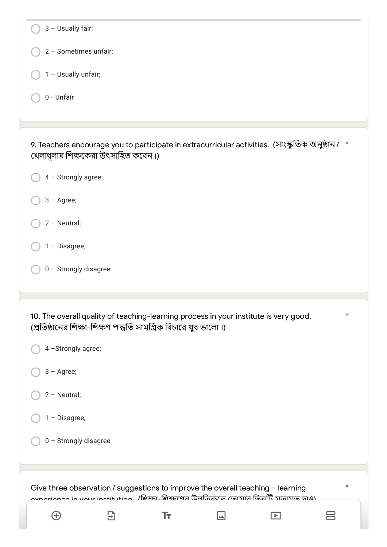| 3 - Usually fair;                                                                                                                                                                                 |
|---------------------------------------------------------------------------------------------------------------------------------------------------------------------------------------------------|
| 2 - Sometimes unfair;                                                                                                                                                                             |
| 1 - Usually unfair;                                                                                                                                                                               |
|                                                                                                                                                                                                   |
| 0- Unfair                                                                                                                                                                                         |
|                                                                                                                                                                                                   |
| 9. Teachers encourage you to participate in extracurricular activities. (সাংস্কৃতিক অনুষ্ঠান / *<br>খেলাধূলায় শিক্ষকেরা উৎসাহিত করেন।)                                                           |
| 4 - Strongly agree;                                                                                                                                                                               |
| $3 - \text{Agree}$ ;                                                                                                                                                                              |
| 2 - Neutral;                                                                                                                                                                                      |
| $1 - Disagree;$                                                                                                                                                                                   |
| 0 - Strongly disagree                                                                                                                                                                             |
|                                                                                                                                                                                                   |
| $^\star$<br>10. The overall quality of teaching-learning process in your institute is very good.<br>(প্রতিষ্ঠানের শিক্ষা-শিক্ষণ পদ্ধতি সামগ্রিক বিচারে খুব ভালো।)                                 |
| 4 - Strongly agree;                                                                                                                                                                               |
| $3 - \text{Agree}$ ;                                                                                                                                                                              |
| 2 - Neutral;                                                                                                                                                                                      |
| 1 - Disagree;                                                                                                                                                                                     |
| 0 - Strongly disagree                                                                                                                                                                             |
|                                                                                                                                                                                                   |
|                                                                                                                                                                                                   |
| $^\star$<br>Give three observation / suggestions to improve the overall teaching - learning<br>$\sim$ norionee in vour institution - (สิเซธ) สิเซธศตส เนิสเกิลสกส กุลเวทส เกิลเหิร วิเลเวเล เส.อ) |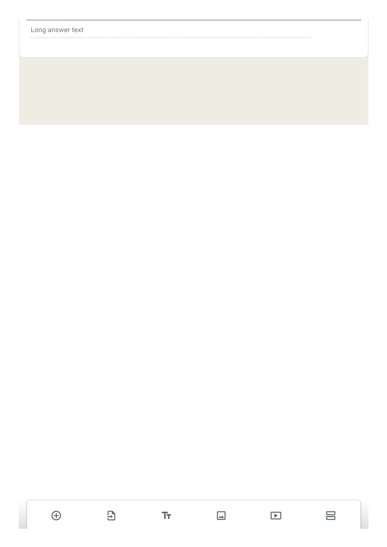

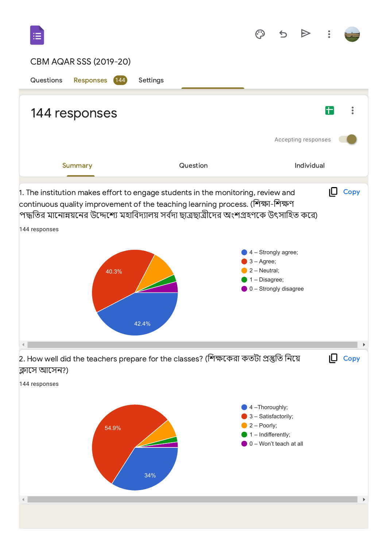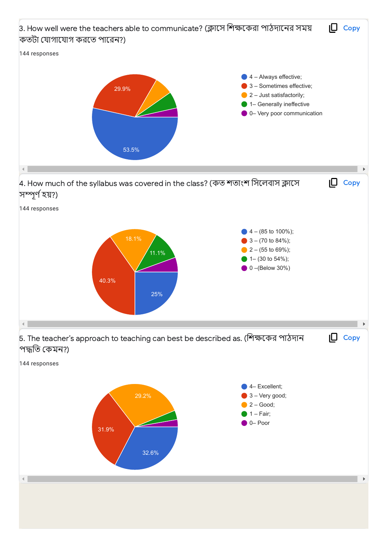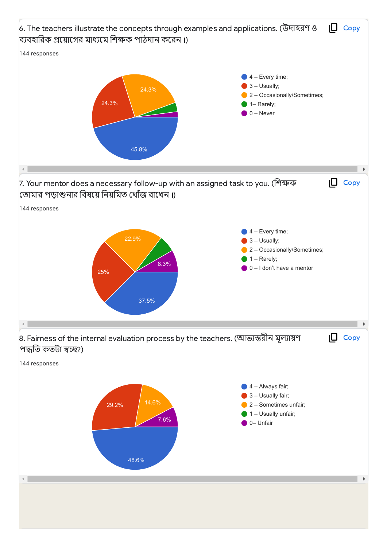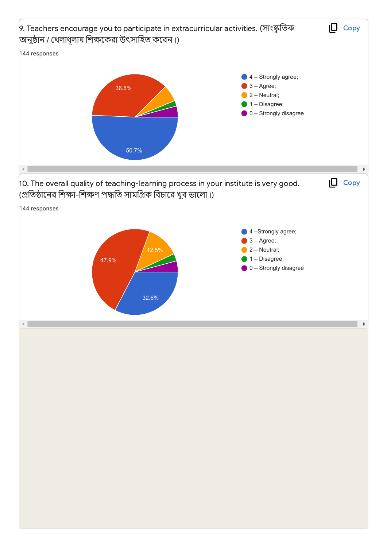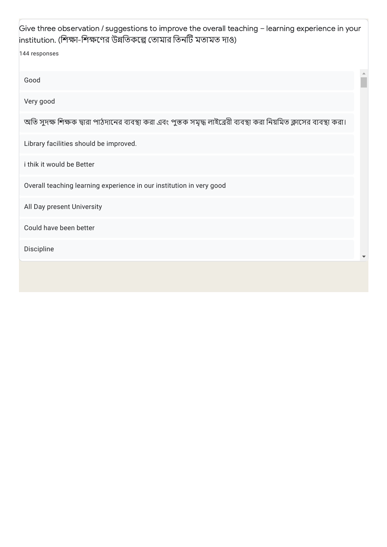| Give three observation / suggestions to improve the overall teaching - learning experience in your<br>institution. (শিক্ষা-শিক্ষণের উন্নতিকল্পে তোমার তিনটি মতামত দাও) |  |
|------------------------------------------------------------------------------------------------------------------------------------------------------------------------|--|
| 144 responses                                                                                                                                                          |  |
| Good                                                                                                                                                                   |  |
| Very good                                                                                                                                                              |  |
| অতি সুদক্ষ শিক্ষক দ্বারা পাঠদানের ব্যবস্থা করা এবং পুস্তক সমৃদ্ধ লাইব্রেরী ব্যবস্থা করা নিয়মিত ক্লাসের ব্যবস্থা করা।                                                  |  |
| Library facilities should be improved.                                                                                                                                 |  |
| i thik it would be Better                                                                                                                                              |  |
| Overall teaching learning experience in our institution in very good                                                                                                   |  |
| All Day present University                                                                                                                                             |  |
| Could have been better                                                                                                                                                 |  |
| Discipline                                                                                                                                                             |  |
|                                                                                                                                                                        |  |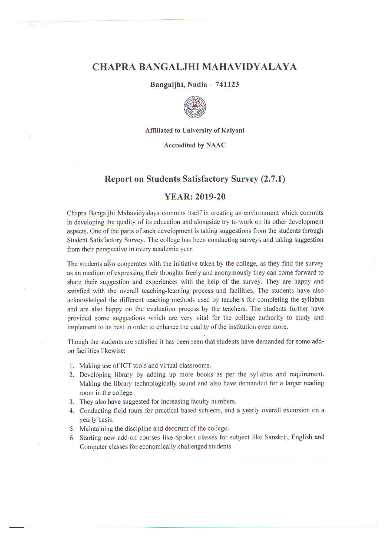# **CHAPRA BANGALJHI MAHAVIDYALAYA**

### Bangaljhi, Nadia - 741123



Affiliated to University of Kalyani

#### **Accredited by NAAC**

## **Report on Students Satisfactory Survey (2.7.1)**

## **YEAR: 2019-20**

Chapra Bangalihi Mahavidyalaya commits itself in creating an environment which commits in developing the quality of its education and alongside try to work on its other development aspects. One of the parts of such development is taking suggestions from the students through Student Satisfactory Survey. The college has been conducting surveys and taking suggestion from their perspective in every academic year.

The students also cooperates with the initiative taken by the college, as they find the survey as an medium of expressing their thoughts freely and anonymously they can come forward to share their suggestion and experiences with the help of the survey. They are happy and satisfied with the overall teaching-learning process and facilities. The students have also acknowledged the different teaching methods used by teachers for completing the syllabus and are also happy on the evaluation process by the teachers. The students further have provided some suggestions which are very vital for the college authority to study and implement to its best in order to enhance the quality of the institution even more.

Though the students are satisfied it has been seen that students have demanded for some addon facilities likewise:

- 1. Making use of ICT tools and virtual classrooms.
- 2. Developing library by adding up more books as per the syllabus and requirement. Making the library technologically sound and also have demanded for a larger reading room in the college
- 3. They also have suggested for increasing faculty numbers.
- 4. Conducting field tours for practical based subjects, and a yearly overall excursion on a yearly basis.
- 5. Maintaining the discipline and decorum of the college.
- 6. Starting new add-on courses like Spoken classes for subject like Sanskrit, English and Computer classes for economically challenged students.